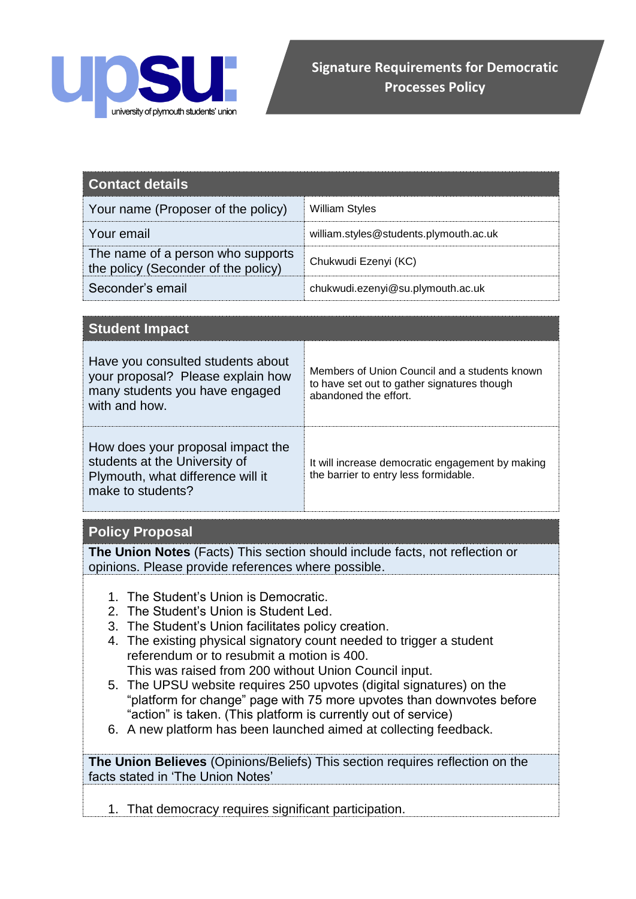

| <b>Contact details</b>                                                   |                                        |
|--------------------------------------------------------------------------|----------------------------------------|
| Your name (Proposer of the policy)                                       | <b>William Styles</b>                  |
| Your email                                                               | william.styles@students.plymouth.ac.uk |
| The name of a person who supports<br>the policy (Seconder of the policy) | Chukwudi Ezenyi (KC)                   |
| Seconder's email                                                         | chukwudi.ezenyi@su.plymouth.ac.uk      |

| <b>Student Impact</b>                                                                                                        |                                                                                                                       |
|------------------------------------------------------------------------------------------------------------------------------|-----------------------------------------------------------------------------------------------------------------------|
| Have you consulted students about<br>your proposal? Please explain how<br>many students you have engaged<br>with and how.    | Members of Union Council and a students known<br>to have set out to gather signatures though<br>abandoned the effort. |
| How does your proposal impact the<br>students at the University of<br>Plymouth, what difference will it<br>make to students? | It will increase democratic engagement by making<br>the barrier to entry less formidable.                             |

## **Policy Proposal**

**The Union Notes** (Facts) This section should include facts, not reflection or opinions. Please provide references where possible.

- 1. The Student's Union is Democratic.
- 2. The Student's Union is Student Led.
- 3. The Student's Union facilitates policy creation.
- 4. The existing physical signatory count needed to trigger a student referendum or to resubmit a motion is 400. This was raised from 200 without Union Council input.
- 5. The UPSU website requires 250 upvotes (digital signatures) on the "platform for change" page with 75 more upvotes than downvotes before "action" is taken. (This platform is currently out of service)
- 6. A new platform has been launched aimed at collecting feedback.

**The Union Believes** (Opinions/Beliefs) This section requires reflection on the facts stated in 'The Union Notes'

1. That democracy requires significant participation.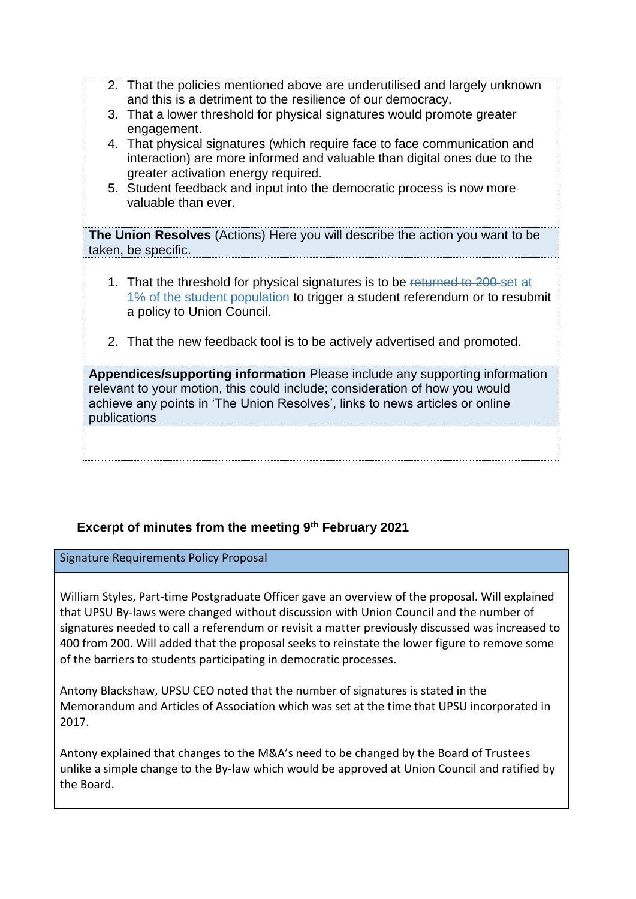- 2. That the policies mentioned above are underutilised and largely unknown and this is a detriment to the resilience of our democracy.
- 3. That a lower threshold for physical signatures would promote greater engagement.
- 4. That physical signatures (which require face to face communication and interaction) are more informed and valuable than digital ones due to the greater activation energy required.
- 5. Student feedback and input into the democratic process is now more valuable than ever.

**The Union Resolves** (Actions) Here you will describe the action you want to be taken, be specific.

- 1. That the threshold for physical signatures is to be returned to 200 set at 1% of the student population to trigger a student referendum or to resubmit a policy to Union Council.
- 2. That the new feedback tool is to be actively advertised and promoted.

**Appendices/supporting information** Please include any supporting information relevant to your motion, this could include; consideration of how you would achieve any points in 'The Union Resolves', links to news articles or online publications

## **Excerpt of minutes from the meeting 9th February 2021**

Signature Requirements Policy Proposal

William Styles, Part-time Postgraduate Officer gave an overview of the proposal. Will explained that UPSU By-laws were changed without discussion with Union Council and the number of signatures needed to call a referendum or revisit a matter previously discussed was increased to 400 from 200. Will added that the proposal seeks to reinstate the lower figure to remove some of the barriers to students participating in democratic processes.

Antony Blackshaw, UPSU CEO noted that the number of signatures is stated in the Memorandum and Articles of Association which was set at the time that UPSU incorporated in 2017.

Antony explained that changes to the M&A's need to be changed by the Board of Trustees unlike a simple change to the By-law which would be approved at Union Council and ratified by the Board.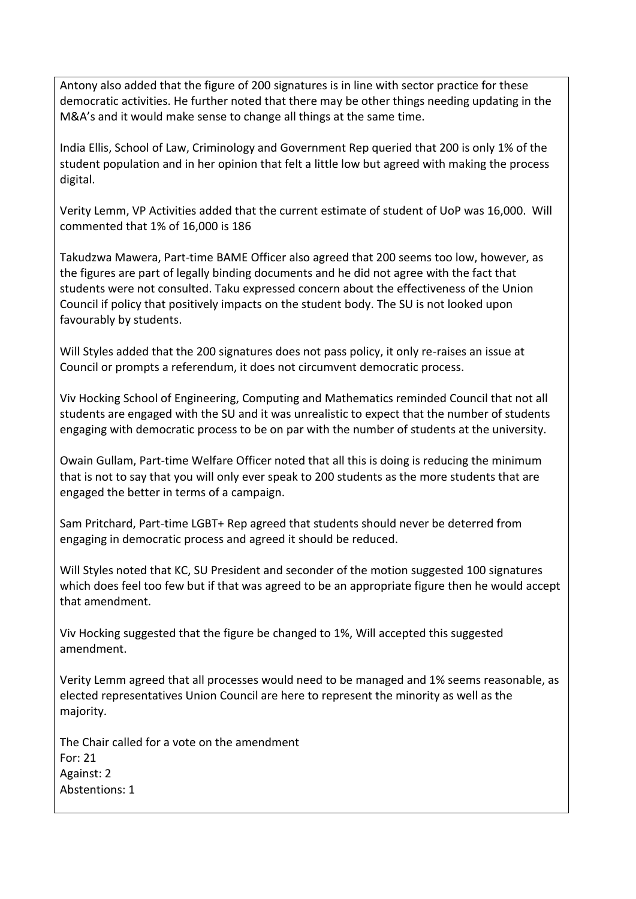Antony also added that the figure of 200 signatures is in line with sector practice for these democratic activities. He further noted that there may be other things needing updating in the M&A's and it would make sense to change all things at the same time.

India Ellis, School of Law, Criminology and Government Rep queried that 200 is only 1% of the student population and in her opinion that felt a little low but agreed with making the process digital.

Verity Lemm, VP Activities added that the current estimate of student of UoP was 16,000. Will commented that 1% of 16,000 is 186

Takudzwa Mawera, Part-time BAME Officer also agreed that 200 seems too low, however, as the figures are part of legally binding documents and he did not agree with the fact that students were not consulted. Taku expressed concern about the effectiveness of the Union Council if policy that positively impacts on the student body. The SU is not looked upon favourably by students.

Will Styles added that the 200 signatures does not pass policy, it only re-raises an issue at Council or prompts a referendum, it does not circumvent democratic process.

Viv Hocking School of Engineering, Computing and Mathematics reminded Council that not all students are engaged with the SU and it was unrealistic to expect that the number of students engaging with democratic process to be on par with the number of students at the university.

Owain Gullam, Part-time Welfare Officer noted that all this is doing is reducing the minimum that is not to say that you will only ever speak to 200 students as the more students that are engaged the better in terms of a campaign.

Sam Pritchard, Part-time LGBT+ Rep agreed that students should never be deterred from engaging in democratic process and agreed it should be reduced.

Will Styles noted that KC, SU President and seconder of the motion suggested 100 signatures which does feel too few but if that was agreed to be an appropriate figure then he would accept that amendment.

Viv Hocking suggested that the figure be changed to 1%, Will accepted this suggested amendment.

Verity Lemm agreed that all processes would need to be managed and 1% seems reasonable, as elected representatives Union Council are here to represent the minority as well as the majority.

The Chair called for a vote on the amendment For: 21 Against: 2 Abstentions: 1